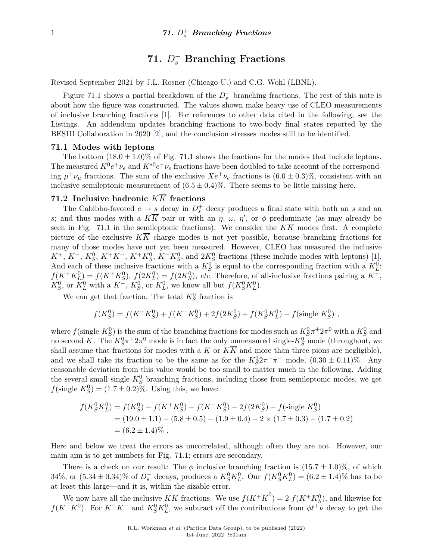# **71.** *D*<sup>+</sup> *<sup>s</sup>* **Branching Fractions**

Revised September 2021 by J.L. Rosner (Chicago U.) and C.G. Wohl (LBNL).

Figure 71.1 shows a partial breakdown of the  $D_s^+$  branching fractions. The rest of this note is about how the figure was constructed. The values shown make heavy use of CLEO measurements of inclusive branching fractions [\[1\]](#page-3-0). For references to other data cited in the following, see the Listings. An addendum updates branching fractions to two-body final states reported by the BESIII Collaboration in 2020 [\[2\]](#page-3-1), and the conclusion stresses modes still to be identified.

#### **71.1 Modes with leptons**

The bottom  $(18.0 \pm 1.0)\%$  of Fig. 71.1 shows the fractions for the modes that include leptons. The measured  $K^0e^+\nu_e$  and  $K^{*0}e^+\nu_e$  fractions have been doubled to take account of the corresponding  $\mu^+\nu_\mu$  fractions. The sum of the exclusive  $Xe^+\nu_e$  fractions is  $(6.0 \pm 0.3)\%$ , consistent with an inclusive semileptonic measurement of  $(6.5 \pm 0.4)\%$ . There seems to be little missing here.

### **71.2 Inclusive hadronic** *KK* **fractions**

The Cabibbo-favored  $c \to s$  decay in  $D_s^+$  decay produces a final state with both an  $s$  and an *s*; and thus modes with a  $K\overline{K}$  pair or with an *η*, *ω*, *η*<sup>'</sup>, or *φ* predominate (as may already be seen in Fig. 71.1 in the semileptonic fractions). We consider the  $K\overline{K}$  modes first. A complete picture of the exclusive  $K\overline{K}$  charge modes is not yet possible, because branching fractions for many of those modes have not yet been measured. However, CLEO has measured the inclusive  $K^+$ ,  $K^-$ ,  $K_S^0$ ,  $K^+K^-$ ,  $K^+K_S^0$ ,  $K^-K_S^0$ , and  $2K_S^0$  fractions (these include modes with leptons) [\[1\]](#page-3-0). And each of these inclusive fractions with a  $K_S^0$  is equal to the corresponding fraction with a  $K_L^0$ :  $f(K^+K_L^0) = f(K^+K_S^0)$ ,  $f(2K_L^0) = f(2K_S^0)$ , *etc.* Therefore, of all-inclusive fractions pairing a  $K^+$ ,  $K_S^0$ , or  $K_L^0$  with a  $K^-$ ,  $K_S^0$ , or  $K_L^0$ , we know all but  $f(K_S^0 K_L^0)$ .

We can get that fraction. The total  $K_S^0$  fraction is

$$
f(K_S^0) = f(K^+K_S^0) + f(K^-K_S^0) + 2f(2K_S^0) + f(K_S^0K_L^0) + f(\text{single } K_S^0),
$$

where  $f(\text{single } K_S^0)$  is the sum of the branching fractions for modes such as  $K_S^0 \pi^+ 2\pi^0$  with a  $K_S^0$  and no second *K*. The  $K_S^0 \pi^+ 2\pi^0$  mode is in fact the only unmeasured single- $K_S^0$  mode (throughout, we shall assume that fractions for modes with a *K* or  $K\overline{K}$  and more than three pions are negligible), and we shall take its fraction to be the same as for the  $K_S^0 2\pi^+\pi^-$  mode,  $(0.30 \pm 0.11)\%$ . Any reasonable deviation from this value would be too small to matter much in the following. Adding the several small single- $K_S^0$  branching fractions, including those from semileptonic modes, we get *f*(single  $K_S^0$ ) = (1.7 ± 0.2)%. Using this, we have:

$$
f(K_S^0 K_L^0) = f(K_S^0) - f(K^+ K_S^0) - f(K^- K_S^0) - 2f(2K_S^0) - f(\text{single } K_S^0)
$$
  
= (19.0 ± 1.1) – (5.8 ± 0.5) – (1.9 ± 0.4) – 2 × (1.7 ± 0.3) – (1.7 ± 0.2)  
= (6.2 ± 1.4)%

Here and below we treat the errors as uncorrelated, although often they are not. However, our main aim is to get numbers for Fig. 71.1; errors are secondary.

There is a check on our result: The  $\phi$  inclusive branching fraction is  $(15.7 \pm 1.0)\%$ , of which 34%, or  $(5.34 \pm 0.34)\%$  of  $D_s^+$  decays, produces a  $K_S^0 K_L^0$ . Our  $f(K_S^0 K_L^0) = (6.2 \pm 1.4)\%$  has to be at least this large—and it is, within the sizable error.

We now have all the inclusive  $K\overline{K}$  fractions. We use  $f(K^+\overline{K}^0) = 2 f(K^+K^0_S)$ , and likewise for *f*( $K$ <sup>−</sup> $K$ <sup>0</sup>). For  $K$ <sup>+</sup> $K$ <sup>−</sup> and  $K_S^0 K_L^0$ , we subtract off the contributions from  $\phi \ell^+ \nu$  decay to get the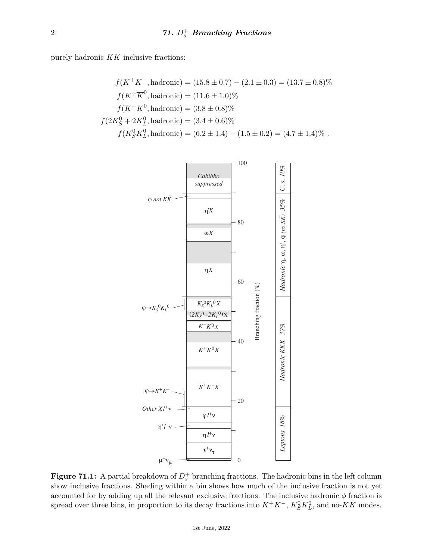purely hadronic  $K\overline{K}$  inclusive fractions:

$$
f(K^+K^-, \text{hadronic}) = (15.8 \pm 0.7) - (2.1 \pm 0.3) = (13.7 \pm 0.8)\%
$$
  
\n
$$
f(K^+\overline{K}^0, \text{hadronic}) = (11.6 \pm 1.0)\%
$$
  
\n
$$
f(K^-K^0, \text{hadronic}) = (3.8 \pm 0.8)\%
$$
  
\n
$$
f(2K_S^0 + 2K_L^0, \text{hadronic}) = (3.4 \pm 0.6)\%
$$
  
\n
$$
f(K_S^0K_L^0, \text{hadronic}) = (6.2 \pm 1.4) - (1.5 \pm 0.2) = (4.7 \pm 1.4)\%
$$
.



**Figure 71.1:** A partial breakdown of  $D_s^+$  branching fractions. The hadronic bins in the left column show inclusive fractions. Shading within a bin shows how much of the inclusive fraction is not yet accounted for by adding up all the relevant exclusive fractions. The inclusive hadronic  $\phi$  fraction is spread over three bins, in proportion to its decay fractions into  $K^+K^-$ ,  $K_S^0K_L^0$ , and no- $K\bar{K}$  modes.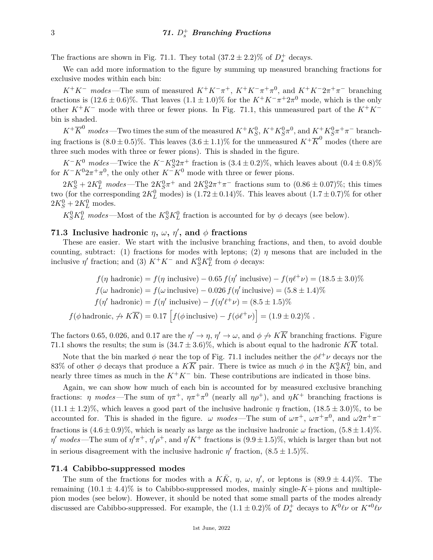The fractions are shown in Fig. 71.1. They total  $(37.2 \pm 2.2)\%$  of  $D_s^+$  decays.

We can add more information to the figure by summing up measured branching fractions for exclusive modes within each bin:

*K*<sup>+</sup>*K*<sup>−</sup> *modes*—The sum of measured  $K^+K^-\pi^+$ ,  $K^+K^-\pi^+\pi^0$ , and  $K^+K^-2\pi^+\pi^-$  branching fractions is  $(12.6 \pm 0.6)\%$ . That leaves  $(1.1 \pm 1.0)\%$  for the  $K^+K^-\pi^+2\pi^0$  mode, which is the only other  $K^+K^-$  mode with three or fewer pions. In Fig. 71.1, this unmeasured part of the  $K^+K^$ bin is shaded.

 $K^+\overline{K}^0$  *modes* —Two times the sum of the measured  $K^+K^0_S$ ,  $K^+K^0_S\pi^0$ , and  $K^+K^0_S\pi^+\pi^-$  branching fractions is  $(8.0 \pm 0.5)\%$ . This leaves  $(3.6 \pm 1.1)\%$  for the unmeasured  $K^+ \overline{K}^0$  modes (there are three such modes with three or fewer pions). This is shaded in the figure.

 $K^-K^0$  modes—Twice the  $K^-K^0_S 2\pi^+$  fraction is  $(3.4 \pm 0.2)\%$ , which leaves about  $(0.4 \pm 0.8)\%$ for  $K^-K^02\pi^+\pi^0$ , the only other  $K^-K^0$  mode with three or fewer pions.

 $2K_S^0 + 2K_L^0$  modes—The  $2K_S^0 \pi^+$  and  $2K_S^0 2\pi^+ \pi^-$  fractions sum to  $(0.86 \pm 0.07)$ %; this times two (for the corresponding  $2K_L^0$  modes) is  $(1.72 \pm 0.14)\%$ . This leaves about  $(1.7 \pm 0.7)\%$  for other  $2K_S^0 + 2K_L^0$  modes.

 $K_S^0 K_L^0$  modes—Most of the  $K_S^0 K_L^0$  fraction is accounted for by  $\phi$  decays (see below).

## **71.3** Inclusive hadronic  $\eta$ ,  $\omega$ ,  $\eta'$ , and  $\phi$  fractions

These are easier. We start with the inclusive branching fractions, and then, to avoid double counting, subtract: (1) fractions for modes with leptons; (2)  $\eta$  mesons that are included in the inclusive  $\eta'$  fraction; and (3)  $K^+K^-$  and  $K_S^0K_L^0$  from  $\phi$  decays:

$$
f(\eta \text{ hadronic}) = f(\eta \text{ inclusive}) - 0.65 f(\eta' \text{ inclusive}) - f(\eta \ell^+ \nu) = (18.5 \pm 3.0)\%
$$
  
\n
$$
f(\omega \text{ hadronic}) = f(\omega \text{ inclusive}) - 0.026 f(\eta' \text{ inclusive}) = (5.8 \pm 1.4)\%
$$
  
\n
$$
f(\eta' \text{ hadronic}) = f(\eta' \text{ inclusive}) - f(\eta' \ell^+ \nu) = (8.5 \pm 1.5)\%
$$
  
\n
$$
f(\phi \text{ hadronic}, \forall K \overline{K}) = 0.17 \left[ f(\phi \text{ inclusive}) - f(\phi \ell^+ \nu) \right] = (1.9 \pm 0.2)\%
$$
.

The factors 0.65, 0.026, and 0.17 are the  $\eta' \to \eta$ ,  $\eta' \to \omega$ , and  $\phi \to K\overline{K}$  branching fractions. Figure 71.1 shows the results; the sum is  $(34.7 \pm 3.6)\%$ , which is about equal to the hadronic  $K\overline{K}$  total.

Note that the bin marked  $\phi$  near the top of Fig. 71.1 includes neither the  $\phi l^+ \nu$  decays nor the 83% of other  $\phi$  decays that produce a  $K\overline{K}$  pair. There is twice as much  $\phi$  in the  $K_S^0K_L^0$  bin, and nearly three times as much in the  $K^+K^-$  bin. These contributions are indicated in those bins.

Again, we can show how much of each bin is accounted for by measured exclusive branching fractions: *η modes*—The sum of  $\eta \pi^+$ ,  $\eta \pi^+ \pi^0$  (nearly all  $\eta \rho^+$ ), and  $\eta K^+$  branching fractions is  $(11.1 \pm 1.2)\%$ , which leaves a good part of the inclusive hadronic *η* fraction,  $(18.5 \pm 3.0)\%$ , to be accounted for. This is shaded in the figure. *ω* modes—The sum of  $\omega \pi^+$ ,  $\omega \pi^+ \pi^0$ , and  $\omega 2\pi^+ \pi^$ fractions is  $(4.6 \pm 0.9)\%$ , which is nearly as large as the inclusive hadronic  $\omega$  fraction,  $(5.8 \pm 1.4)\%$ . *η*  $\eta$  *modes*—The sum of  $\eta' \pi^+$ ,  $\eta' \rho^+$ , and  $\eta' K^+$  fractions is  $(9.9 \pm 1.5)$ %, which is larger than but not in serious disagreement with the inclusive hadronic  $\eta'$  fraction,  $(8.5 \pm 1.5)\%$ .

#### **71.4 Cabibbo-suppressed modes**

The sum of the fractions for modes with a  $K\bar{K}$ ,  $\eta$ ,  $\omega$ ,  $\eta'$ , or leptons is  $(89.9 \pm 4.4)\%$ . The remaining  $(10.1 \pm 4.4)\%$  is to Cabibbo-suppressed modes, mainly single- $K$ + pions and multiplepion modes (see below). However, it should be noted that some small parts of the modes already discussed are Cabibbo-suppressed. For example, the  $(1.1 \pm 0.2)$ % of  $D_s^+$  decays to  $K^0 \ell \nu$  or  $K^{*0} \ell \nu$